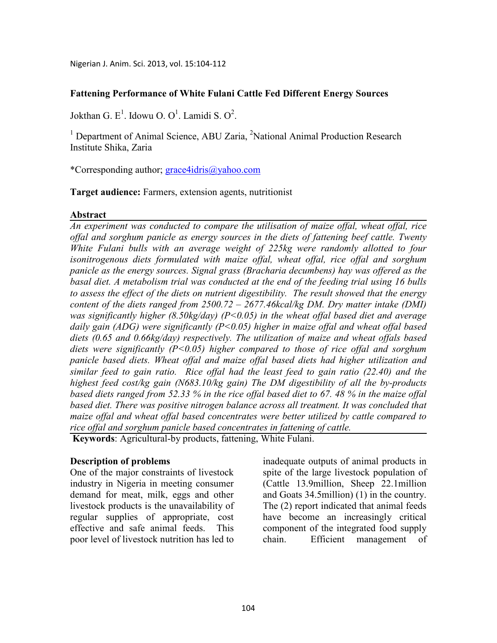Nigerian J. Anim. Sci. 2013, vol. 15:104-112

### **Fattening Performance of White Fulani Cattle Fed Different Energy Sources**

Jokthan G. E<sup>1</sup>. Idowu O. O<sup>1</sup>. Lamidi S. O<sup>2</sup>.

<sup>1</sup> Department of Animal Science, ABU Zaria, <sup>2</sup>National Animal Production Research Institute Shika, Zaria

\*Corresponding author; grace4idris@yahoo.com

**Target audience:** Farmers, extension agents, nutritionist

### **Abstract**

*An experiment was conducted to compare the utilisation of maize offal, wheat offal, rice offal and sorghum panicle as energy sources in the diets of fattening beef cattle. Twenty White Fulani bulls with an average weight of 225kg were randomly allotted to four isonitrogenous diets formulated with maize offal, wheat offal, rice offal and sorghum panicle as the energy sources. Signal grass (Bracharia decumbens) hay was offered as the basal diet. A metabolism trial was conducted at the end of the feeding trial using 16 bulls to assess the effect of the diets on nutrient digestibility. The result showed that the energy content of the diets ranged from 2500.72 – 2677.46kcal/kg DM. Dry matter intake (DMI) was significantly higher (8.50kg/day) (P<0.05) in the wheat offal based diet and average daily gain (ADG) were significantly (P<0.05) higher in maize offal and wheat offal based diets (0.65 and 0.66kg/day) respectively. The utilization of maize and wheat offals based diets were significantly (P<0.05) higher compared to those of rice offal and sorghum panicle based diets. Wheat offal and maize offal based diets had higher utilization and similar feed to gain ratio. Rice offal had the least feed to gain ratio (22.40) and the highest feed cost/kg gain (683.10/kg gain) The DM digestibility of all the by-products based diets ranged from 52.33 % in the rice offal based diet to 67. 48 % in the maize offal based diet. There was positive nitrogen balance across all treatment. It was concluded that maize offal and wheat offal based concentrates were better utilized by cattle compared to rice offal and sorghum panicle based concentrates in fattening of cattle.* 

 **Keywords**: Agricultural-by products, fattening, White Fulani.

### **Description of problems**

One of the major constraints of livestock industry in Nigeria in meeting consumer demand for meat, milk, eggs and other livestock products is the unavailability of regular supplies of appropriate, cost effective and safe animal feeds. This poor level of livestock nutrition has led to inadequate outputs of animal products in spite of the large livestock population of (Cattle 13.9million, Sheep 22.1million and Goats 34.5million) (1) in the country. The (2) report indicated that animal feeds have become an increasingly critical component of the integrated food supply chain. Efficient management of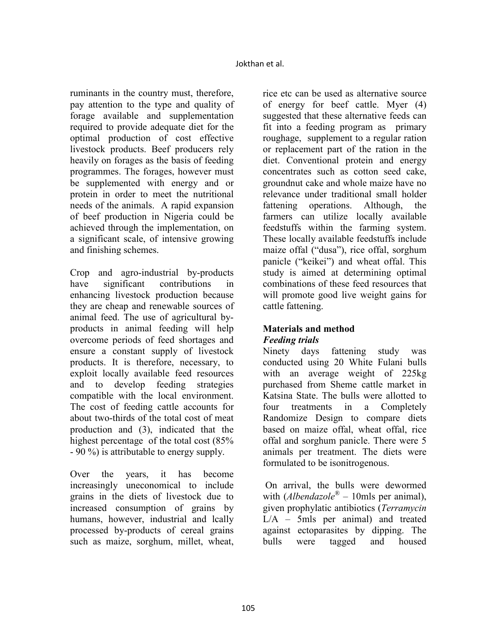ruminants in the country must, therefore, pay attention to the type and quality of forage available and supplementation required to provide adequate diet for the optimal production of cost effective livestock products. Beef producers rely heavily on forages as the basis of feeding programmes. The forages, however must be supplemented with energy and or protein in order to meet the nutritional needs of the animals. A rapid expansion of beef production in Nigeria could be achieved through the implementation, on a significant scale, of intensive growing and finishing schemes.

Crop and agro-industrial by-products have significant contributions in enhancing livestock production because they are cheap and renewable sources of animal feed. The use of agricultural byproducts in animal feeding will help overcome periods of feed shortages and ensure a constant supply of livestock products. It is therefore, necessary, to exploit locally available feed resources and to develop feeding strategies compatible with the local environment. The cost of feeding cattle accounts for about two-thirds of the total cost of meat production and (3), indicated that the highest percentage of the total cost (85% - 90 %) is attributable to energy supply.

Over the years, it has become increasingly uneconomical to include grains in the diets of livestock due to increased consumption of grains by humans, however, industrial and lcally processed by-products of cereal grains such as maize, sorghum, millet, wheat,

rice etc can be used as alternative source of energy for beef cattle. Myer (4) suggested that these alternative feeds can fit into a feeding program as primary roughage, supplement to a regular ration or replacement part of the ration in the diet. Conventional protein and energy concentrates such as cotton seed cake, groundnut cake and whole maize have no relevance under traditional small holder fattening operations. Although, the farmers can utilize locally available feedstuffs within the farming system. These locally available feedstuffs include maize offal ("dusa"), rice offal, sorghum panicle ("keikei") and wheat offal. This study is aimed at determining optimal combinations of these feed resources that will promote good live weight gains for cattle fattening.

## **Materials and method**  *Feeding trials*

Ninety days fattening study was conducted using 20 White Fulani bulls with an average weight of 225kg purchased from Sheme cattle market in Katsina State. The bulls were allotted to four treatments in a Completely Randomize Design to compare diets based on maize offal, wheat offal, rice offal and sorghum panicle. There were 5 animals per treatment. The diets were formulated to be isonitrogenous.

 On arrival, the bulls were dewormed with (*Albendazole*® – 10mls per animal), given prophylatic antibiotics (*Terramycin*  L/A – 5mls per animal) and treated against ectoparasites by dipping. The bulls were tagged and housed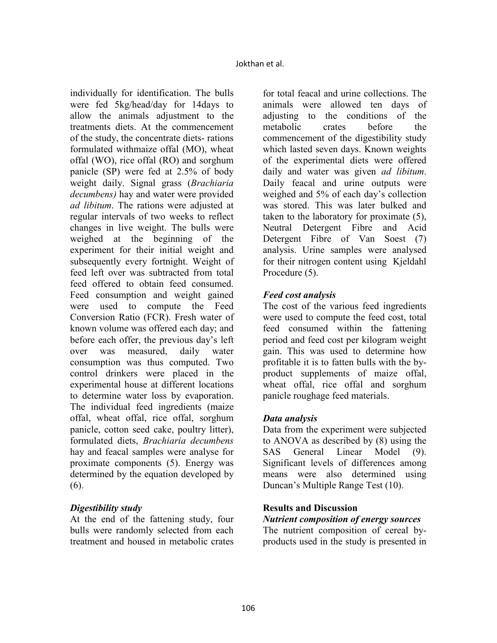individually for identification. The bulls were fed 5kg/head/day for 14days to allow the animals adjustment to the treatments diets. At the commencement of the study, the concentrate diets- rations formulated withmaize offal (MO), wheat offal (WO), rice offal (RO) and sorghum panicle (SP) were fed at 2.5% of body weight daily. Signal grass (*Brachiaria decumbens)* hay and water were provided *ad libitum*. The rations were adjusted at regular intervals of two weeks to reflect changes in live weight. The bulls were weighed at the beginning of the experiment for their initial weight and subsequently every fortnight. Weight of feed left over was subtracted from total feed offered to obtain feed consumed. Feed consumption and weight gained were used to compute the Feed Conversion Ratio (FCR). Fresh water of known volume was offered each day; and before each offer, the previous day's left over was measured, daily water consumption was thus computed. Two control drinkers were placed in the experimental house at different locations to determine water loss by evaporation. The individual feed ingredients (maize offal, wheat offal, rice offal, sorghum panicle, cotton seed cake, poultry litter), formulated diets, *Brachiaria decumbens* hay and feacal samples were analyse for proximate components (5). Energy was determined by the equation developed by (6).

### *Digestibility study*

At the end of the fattening study, four bulls were randomly selected from each treatment and housed in metabolic crates

for total feacal and urine collections. The animals were allowed ten days of adjusting to the conditions of the metabolic crates before the commencement of the digestibility study which lasted seven days. Known weights of the experimental diets were offered daily and water was given *ad libitum*. Daily feacal and urine outputs were weighed and 5% of each day's collection was stored. This was later bulked and taken to the laboratory for proximate (5), Neutral Detergent Fibre and Acid Detergent Fibre of Van Soest (7) analysis. Urine samples were analysed for their nitrogen content using Kjeldahl Procedure (5).

### *Feed cost analysis*

The cost of the various feed ingredients were used to compute the feed cost, total feed consumed within the fattening period and feed cost per kilogram weight gain. This was used to determine how profitable it is to fatten bulls with the byproduct supplements of maize offal, wheat offal, rice offal and sorghum panicle roughage feed materials.

### *Data analysis*

Data from the experiment were subjected to ANOVA as described by (8) using the SAS General Linear Model (9). Significant levels of differences among means were also determined using Duncan's Multiple Range Test (10).

### **Results and Discussion**

# *Nutrient composition of energy sources*

The nutrient composition of cereal byproducts used in the study is presented in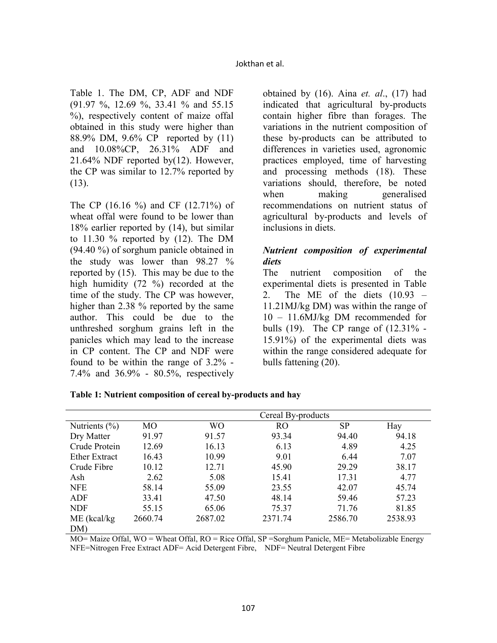Table 1. The DM, CP, ADF and NDF (91.97 %, 12.69 %, 33.41 % and 55.15 %), respectively content of maize offal obtained in this study were higher than 88.9% DM, 9.6% CP reported by (11) and 10.08%CP, 26.31% ADF and 21.64% NDF reported by(12). However, the CP was similar to 12.7% reported by (13).

The CP (16.16 %) and CF (12.71%) of wheat offal were found to be lower than 18% earlier reported by (14), but similar to  $11.30\%$  reported by  $(12)$ . The DM (94.40 %) of sorghum panicle obtained in the study was lower than 98.27 % reported by (15). This may be due to the high humidity (72 %) recorded at the time of the study. The CP was however, higher than 2.38 % reported by the same author. This could be due to the unthreshed sorghum grains left in the panicles which may lead to the increase in CP content. The CP and NDF were found to be within the range of 3.2% - 7.4% and 36.9% - 80.5%, respectively

obtained by (16). Aina *et. al*., (17) had indicated that agricultural by-products contain higher fibre than forages. The variations in the nutrient composition of these by-products can be attributed to differences in varieties used, agronomic practices employed, time of harvesting and processing methods (18). These variations should, therefore, be noted when making generalised recommendations on nutrient status of agricultural by-products and levels of inclusions in diets.

## *Nutrient composition of experimental diets*

The nutrient composition of the experimental diets is presented in Table 2. The ME of the diets  $(10.93 -$ 11.21MJ/kg DM) was within the range of 10 – 11.6MJ/kg DM recommended for bulls (19). The CP range of (12.31% - 15.91%) of the experimental diets was within the range considered adequate for bulls fattening (20).

|                      |         | Cereal By-products |           |         |         |  |  |
|----------------------|---------|--------------------|-----------|---------|---------|--|--|
| Nutrients $(\% )$    | МO      | WО                 | <b>RO</b> | SP      | Hay     |  |  |
| Dry Matter           | 91.97   | 91.57              | 93.34     | 94.40   | 94.18   |  |  |
| Crude Protein        | 12.69   | 16.13              | 6.13      | 4.89    | 4.25    |  |  |
| <b>Ether Extract</b> | 16.43   | 10.99              | 9.01      | 6.44    | 7.07    |  |  |
| Crude Fibre          | 10.12   | 12.71              | 45.90     | 29.29   | 38.17   |  |  |
| Ash                  | 2.62    | 5.08               | 15.41     | 17.31   | 4.77    |  |  |
| <b>NFE</b>           | 58.14   | 55.09              | 23.55     | 42.07   | 45.74   |  |  |
| ADF                  | 33.41   | 47.50              | 48.14     | 59.46   | 57.23   |  |  |
| <b>NDF</b>           | 55.15   | 65.06              | 75.37     | 71.76   | 81.85   |  |  |
| $ME$ (kcal/kg)       | 2660.74 | 2687.02            | 2371.74   | 2586.70 | 2538.93 |  |  |
| DM)                  |         |                    |           |         |         |  |  |

|  |  |  |  | Table 1: Nutrient composition of cereal by-products and hay |  |
|--|--|--|--|-------------------------------------------------------------|--|
|--|--|--|--|-------------------------------------------------------------|--|

MO= Maize Offal, WO = Wheat Offal, RO = Rice Offal, SP =Sorghum Panicle, ME= Metabolizable Energy NFE=Nitrogen Free Extract ADF= Acid Detergent Fibre, NDF= Neutral Detergent Fibre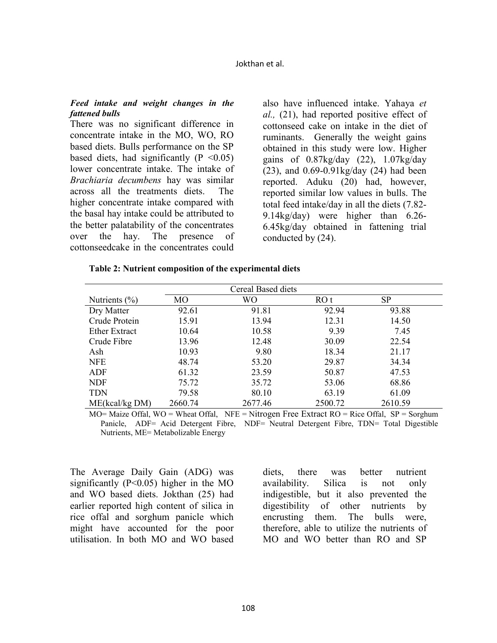#### Jokthan et al.

#### *Feed intake and weight changes in the fattened bulls*

There was no significant difference in concentrate intake in the MO, WO, RO based diets. Bulls performance on the SP based diets, had significantly  $(P \le 0.05)$ lower concentrate intake. The intake of *Brachiaria decumbens* hay was similar across all the treatments diets. The higher concentrate intake compared with the basal hay intake could be attributed to the better palatability of the concentrates over the hay. The presence of cottonseedcake in the concentrates could also have influenced intake. Yahaya *et al.,* (21), had reported positive effect of cottonseed cake on intake in the diet of ruminants. Generally the weight gains obtained in this study were low. Higher gains of  $0.87\text{kg/day}$  (22),  $1.07\text{kg/day}$ (23), and 0.69-0.91kg/day (24) had been reported. Aduku (20) had, however, reported similar low values in bulls. The total feed intake/day in all the diets (7.82- 9.14kg/day) were higher than 6.26- 6.45kg/day obtained in fattening trial conducted by (24).

|  | Table 2: Nutrient composition of the experimental diets |  |  |
|--|---------------------------------------------------------|--|--|
|  |                                                         |  |  |

| <b>Cereal Based diets</b> |         |         |         |           |  |  |  |  |
|---------------------------|---------|---------|---------|-----------|--|--|--|--|
| Nutrients $(\% )$         | MO      | WО      | ROt     | <b>SP</b> |  |  |  |  |
| Dry Matter                | 92.61   | 91.81   | 92.94   | 93.88     |  |  |  |  |
| Crude Protein             | 15.91   | 13.94   | 12.31   | 14.50     |  |  |  |  |
| Ether Extract             | 10.64   | 10.58   | 9.39    | 7.45      |  |  |  |  |
| Crude Fibre               | 13.96   | 12.48   | 30.09   | 22.54     |  |  |  |  |
| Ash                       | 10.93   | 9.80    | 18.34   | 21.17     |  |  |  |  |
| <b>NFE</b>                | 48.74   | 53.20   | 29.87   | 34.34     |  |  |  |  |
| ADF                       | 61.32   | 23.59   | 50.87   | 47.53     |  |  |  |  |
| <b>NDF</b>                | 75.72   | 35.72   | 53.06   | 68.86     |  |  |  |  |
| <b>TDN</b>                | 79.58   | 80.10   | 63.19   | 61.09     |  |  |  |  |
| ME(kcal/kg DM)            | 2660.74 | 2677.46 | 2500.72 | 2610.59   |  |  |  |  |

MO= Maize Offal, WO = Wheat Offal, NFE = Nitrogen Free Extract RO = Rice Offal, SP = Sorghum Panicle, ADF= Acid Detergent Fibre, NDF= Neutral Detergent Fibre, TDN= Total Digestible Nutrients, ME= Metabolizable Energy

The Average Daily Gain (ADG) was significantly  $(P<0.05)$  higher in the MO and WO based diets. Jokthan (25) had earlier reported high content of silica in rice offal and sorghum panicle which might have accounted for the poor utilisation. In both MO and WO based

diets, there was better nutrient availability. Silica is not only indigestible, but it also prevented the digestibility of other nutrients by encrusting them. The bulls were, therefore, able to utilize the nutrients of MO and WO better than RO and SP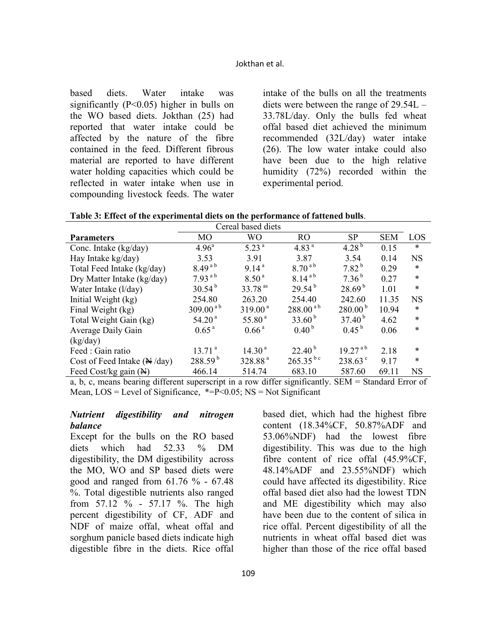based diets. Water intake was significantly  $(P<0.05)$  higher in bulls on the WO based diets. Jokthan (25) had reported that water intake could be affected by the nature of the fibre contained in the feed. Different fibrous material are reported to have different water holding capacities which could be reflected in water intake when use in compounding livestock feeds. The water

intake of the bulls on all the treatments diets were between the range of 29.54L – 33.78L/day. Only the bulls fed wheat offal based diet achieved the minimum recommended (32L/day) water intake (26). The low water intake could also have been due to the high relative humidity (72%) recorded within the experimental period.

|  |  |  |  |  | Table 3: Effect of the experimental diets on the performance of fattened bulls. |
|--|--|--|--|--|---------------------------------------------------------------------------------|
|--|--|--|--|--|---------------------------------------------------------------------------------|

| Cereal based diets                     |                     |                     |                      |                    |            |           |
|----------------------------------------|---------------------|---------------------|----------------------|--------------------|------------|-----------|
| <b>Parameters</b>                      | M <sub>O</sub>      | <b>WO</b>           | R <sub>O</sub>       | SP                 | <b>SEM</b> | LOS       |
| Conc. Intake (kg/day)                  | $4.96^{\circ}$      | $5.23^{a}$          | 4.83 $^{a}$          | 4.28 $^{b}$        | 0.15       | $\ast$    |
| Hay Intake kg/day)                     | 3.53                | 3.91                | 3.87                 | 3.54               | 0.14       | <b>NS</b> |
| Total Feed Intake (kg/day)             | $8.49^{a}$          | 9.14 <sup>a</sup>   | $8.70^{a}$           | $7.82^{b}$         | 0.29       | $\ast$    |
| Dry Matter Intake (kg/day)             | $7.93^{a b}$        | 8.50 <sup>a</sup>   | $8.14^{a}$           | $7.36^{b}$         | 0.27       | $\ast$    |
| Water Intake (l/day)                   | $30.54^{b}$         | 33.78 <sup>as</sup> | $29.54^{b}$          | 28.69 <sup>b</sup> | 1.01       | $\ast$    |
| Initial Weight (kg)                    | 254.80              | 263.20              | 254.40               | 242.60             | 11.35      | <b>NS</b> |
| Final Weight (kg)                      | $309.00^{a b}$      | $319.00^{\text{a}}$ | $288.00^{a}$         | $280.00^{b}$       | 10.94      | *         |
| Total Weight Gain (kg)                 | 54.20 <sup>a</sup>  | 55.80 <sup>a</sup>  | 33.60 <sup>b</sup>   | $37.40^{b}$        | 4.62       | *         |
| Average Daily Gain                     | 0.65 <sup>a</sup>   | 0.66 <sup>a</sup>   | 0.40 <sup>b</sup>    | $0.45^{b}$         | 0.06       | $\ast$    |
| (kg/day)                               |                     |                     |                      |                    |            |           |
| Feed: Gain ratio                       | 13.71 <sup>a</sup>  | 14.30 <sup>a</sup>  | $22.40^{\mathrm{b}}$ | $19.27^{a b}$      | 2.18       | *         |
| Cost of Feed Intake $(\mathbb{N}/day)$ | 288.59 <sup>b</sup> | 328.88 <sup>a</sup> | $265.35^{bc}$        | $238.63^{\circ}$   | 9.17       | $\ast$    |
| Feed Cost/kg gain $(\mathbb{H})$       | 466.14              | 514.74              | 683.10               | 587.60             | 69.11      | <b>NS</b> |

a, b, c, means bearing different superscript in a row differ significantly. SEM = Standard Error of Mean,  $LOS = Level of Significance, *=P<0.05; NS = Not Significant$ 

#### *Nutrient digestibility and nitrogen balance*

Except for the bulls on the RO based diets which had 52.33 % DM digestibility, the DM digestibility across the MO, WO and SP based diets were good and ranged from 61.76 % - 67.48 %. Total digestible nutrients also ranged from 57.12 % - 57.17 %. The high percent digestibility of CF, ADF and NDF of maize offal, wheat offal and sorghum panicle based diets indicate high digestible fibre in the diets. Rice offal

based diet, which had the highest fibre content (18.34%CF, 50.87%ADF and 53.06%NDF) had the lowest fibre digestibility. This was due to the high fibre content of rice offal (45.9%CF, 48.14%ADF and 23.55%NDF) which could have affected its digestibility. Rice offal based diet also had the lowest TDN and ME digestibility which may also have been due to the content of silica in rice offal. Percent digestibility of all the nutrients in wheat offal based diet was higher than those of the rice offal based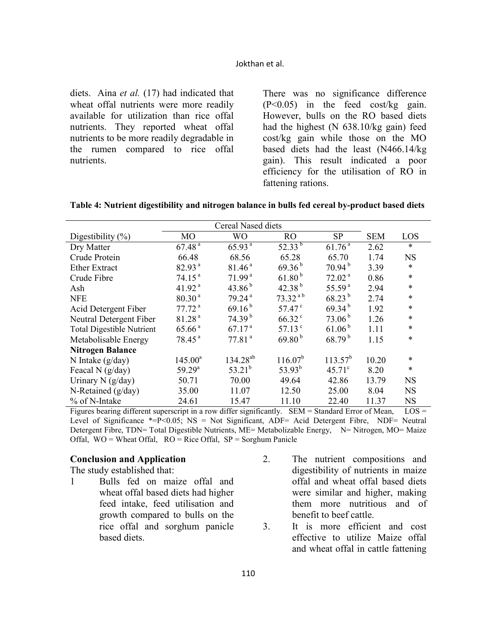#### Jokthan et al.

diets. Aina *et al.* (17) had indicated that wheat offal nutrients were more readily available for utilization than rice offal nutrients. They reported wheat offal nutrients to be more readily degradable in the rumen compared to rice offal nutrients.

There was no significance difference (P<0.05) in the feed cost/kg gain. However, bulls on the RO based diets had the highest (N 638.10/kg gain) feed cost/kg gain while those on the MO based diets had the least (N466.14/kg gain). This result indicated a poor efficiency for the utilisation of RO in fattening rations.

| Digestibility $(\%)$             | МO                 | <b>WO</b>          | RO.              | <b>SP</b>          | <b>SEM</b> | LOS       |
|----------------------------------|--------------------|--------------------|------------------|--------------------|------------|-----------|
| Dry Matter                       | 67.48 <sup>a</sup> | 65.93 <sup>a</sup> | $52.33^{b}$      | 61.76 <sup>a</sup> | 2.62       | $\ast$    |
| Crude Protein                    | 66.48              | 68.56              | 65.28            | 65.70              | 1.74       | <b>NS</b> |
| <b>Ether Extract</b>             | 82.93 <sup>a</sup> | 81.46 <sup>a</sup> | $69.36^{b}$      | 70.94 <sup>b</sup> | 3.39       | *         |
| Crude Fibre                      | 74.15 <sup>a</sup> | 71.99 <sup>a</sup> | $61.80^{b}$      | 72.02 <sup>a</sup> | 0.86       | $\ast$    |
| Ash                              | 41.92 <sup>a</sup> | 43.86 $^{\rm b}$   | 42.38 $^{\rm b}$ | 55.59 $a$          | 2.94       | $\ast$    |
| <b>NFE</b>                       | 80.30 <sup>a</sup> | 79.24 <sup>a</sup> | $73.32^{ab}$     | $68.23^{b}$        | 2.74       | $\ast$    |
| Acid Detergent Fiber             | 77.72 <sup>a</sup> | 69.16 <sup>b</sup> | $57.47^{\circ}$  | $69.34^{b}$        | 1.92       | *         |
| Neutral Detergent Fiber          | 81.28 <sup>a</sup> | 74.39 <sup>b</sup> | $66.32^{\circ}$  | 73.06 <sup>b</sup> | 1.26       | *         |
| <b>Total Digestible Nutrient</b> | 65.66 <sup>a</sup> | 67.17 <sup>a</sup> | 57.13 $^{\circ}$ | 61.06 <sup>b</sup> | 1.11       | *         |
| Metabolisable Energy             | 78.45 <sup>a</sup> | 77.81 <sup>a</sup> | $69.80^{b}$      | $68.79^{b}$        | 1.15       | $\ast$    |
| <b>Nitrogen Balance</b>          |                    |                    |                  |                    |            |           |
| N Intake $(g/day)$               | $145.00^a$         | $134.28^{ab}$      | $116.07^{b}$     | $113.57^{b}$       | 10.20      | $\ast$    |
| Feacal N $(g/day)$               | $59.29^{\rm a}$    | $53.21^{b}$        | $53.93^{b}$      | $45.71^{\circ}$    | 8.20       | $\ast$    |
| Urinary N $(g/day)$              | 50.71              | 70.00              | 49.64            | 42.86              | 13.79      | NS        |
| N-Retained $(g/day)$             | 35.00              | 11.07              | 12.50            | 25.00              | 8.04       | <b>NS</b> |
| % of N-Intake                    | 24.61              | 15.47              | 11.10            | 22.40              | 11.37      | <b>NS</b> |

|  |  | Table 4: Nutrient digestibility and nitrogen balance in bulls fed cereal by-product based diets |
|--|--|-------------------------------------------------------------------------------------------------|
|  |  |                                                                                                 |

Figures bearing different superscript in a row differ significantly. SEM = Standard Error of Mean, LOS = Level of Significance \*= $P<0.05$ ; NS = Not Significant, ADF= Acid Detergent Fibre, NDF= Neutral Detergent Fibre, TDN= Total Digestible Nutrients, ME= Metabolizable Energy, N= Nitrogen, MO= Maize Offal,  $WO = Wheat$  Offal,  $RO = Rice$  Offal,  $SP = S$ orghum Panicle

### **Conclusion and Application**

The study established that:

- 1 Bulls fed on maize offal and wheat offal based diets had higher feed intake, feed utilisation and growth compared to bulls on the rice offal and sorghum panicle based diets.
- 2. The nutrient compositions and digestibility of nutrients in maize offal and wheat offal based diets were similar and higher, making them more nutritious and of benefit to beef cattle.
- 3. It is more efficient and cost effective to utilize Maize offal and wheat offal in cattle fattening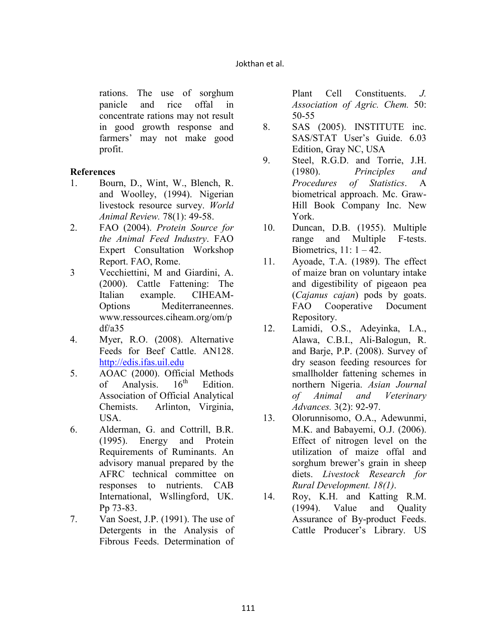#### Jokthan et al.

rations. The use of sorghum panicle and rice offal in concentrate rations may not result in good growth response and farmers' may not make good profit.

### **References**

- 1. Bourn, D., Wint, W., Blench, R. and Woolley, (1994). Nigerian livestock resource survey. *World Animal Review.* 78(1): 49-58.
- 2. FAO (2004). *Protein Source for the Animal Feed Industry*. FAO Expert Consultation Workshop Report. FAO, Rome.
- 3 Vecchiettini, M and Giardini, A. (2000). Cattle Fattening: The Italian example. CIHEAM-Options Mediterraneennes. www.ressources.ciheam.org/om/p df/a35
- 4. Myer, R.O. (2008). Alternative Feeds for Beef Cattle. AN128. http://edis.ifas.uil.edu
- 5. AOAC (2000). Official Methods<br>of Analysis.  $16<sup>th</sup>$  Edition. of Analysis.  $16<sup>th</sup>$  Edition. Association of Official Analytical Chemists. Arlinton, Virginia, USA.
- 6. Alderman, G. and Cottrill, B.R. (1995). Energy and Protein Requirements of Ruminants. An advisory manual prepared by the AFRC technical committee on responses to nutrients. CAB International, Wsllingford, UK. Pp 73-83.
- 7. Van Soest, J.P. (1991). The use of Detergents in the Analysis of Fibrous Feeds. Determination of

Plant Cell Constituents. *J. Association of Agric. Chem.* 50: 50-55

- 8. SAS (2005). INSTITUTE inc. SAS/STAT User's Guide. 6.03 Edition, Gray NC, USA
- 9. Steel, R.G.D. and Torrie, J.H. (1980). *Principles and Procedures of Statistics*. A biometrical approach. Mc. Graw-Hill Book Company Inc. New York.
- 10. Duncan, D.B. (1955). Multiple range and Multiple F-tests. Biometrics,  $11: 1 - 42$ .
- 11. Ayoade, T.A. (1989). The effect of maize bran on voluntary intake and digestibility of pigeaon pea (*Cajanus cajan*) pods by goats. FAO Cooperative Document Repository.
- 12. Lamidi, O.S., Adeyinka, I.A., Alawa, C.B.I., Ali-Balogun, R. and Barje, P.P. (2008). Survey of dry season feeding resources for smallholder fattening schemes in northern Nigeria. *Asian Journal of Animal and Veterinary Advances.* 3(2): 92-97.
- 13. Olorunnisomo, O.A., Adewunmi, M.K. and Babayemi, O.J. (2006). Effect of nitrogen level on the utilization of maize offal and sorghum brewer's grain in sheep diets. *Livestock Research for Rural Development. 18(1)*.
- 14. Roy, K.H. and Katting R.M. (1994). Value and Quality Assurance of By-product Feeds. Cattle Producer's Library. US